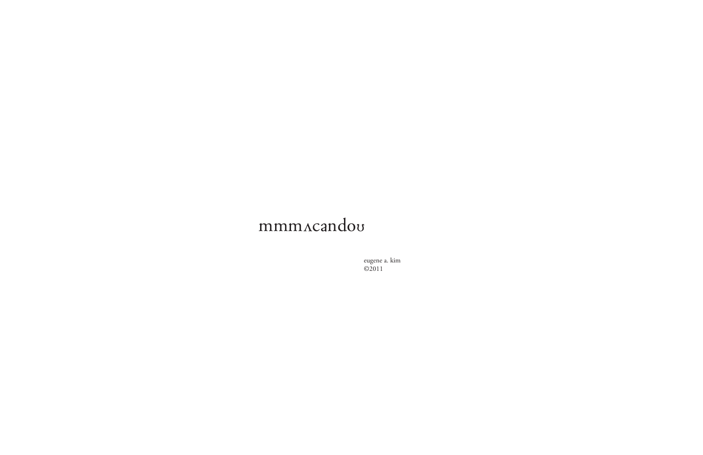## mmmAcandou

eugene a. kim<br>©2011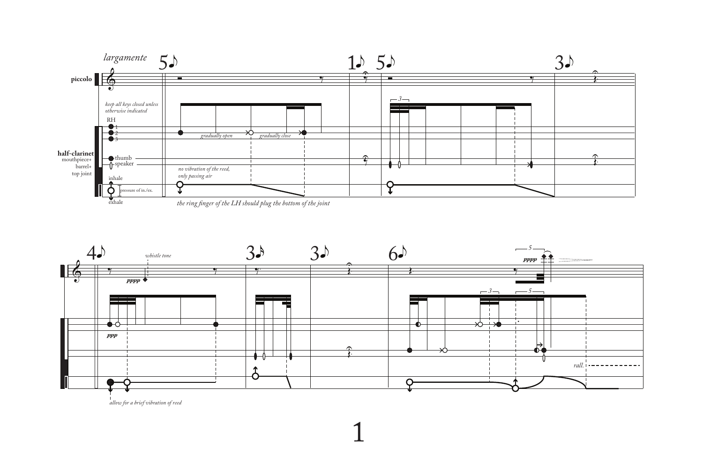

the ring finger of the LH should plug the bottom of the joint

1

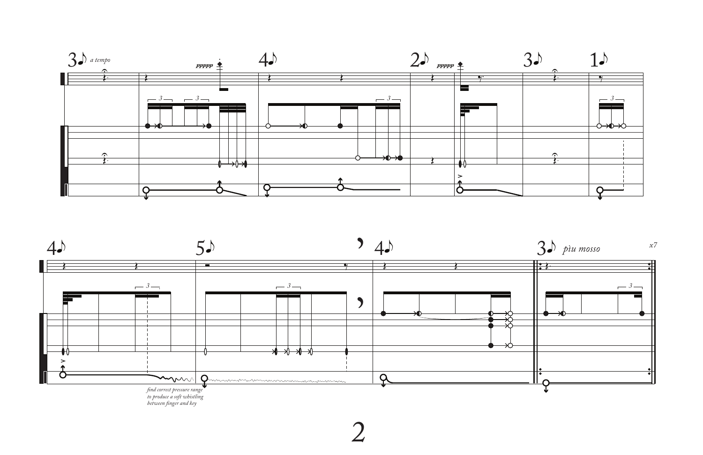